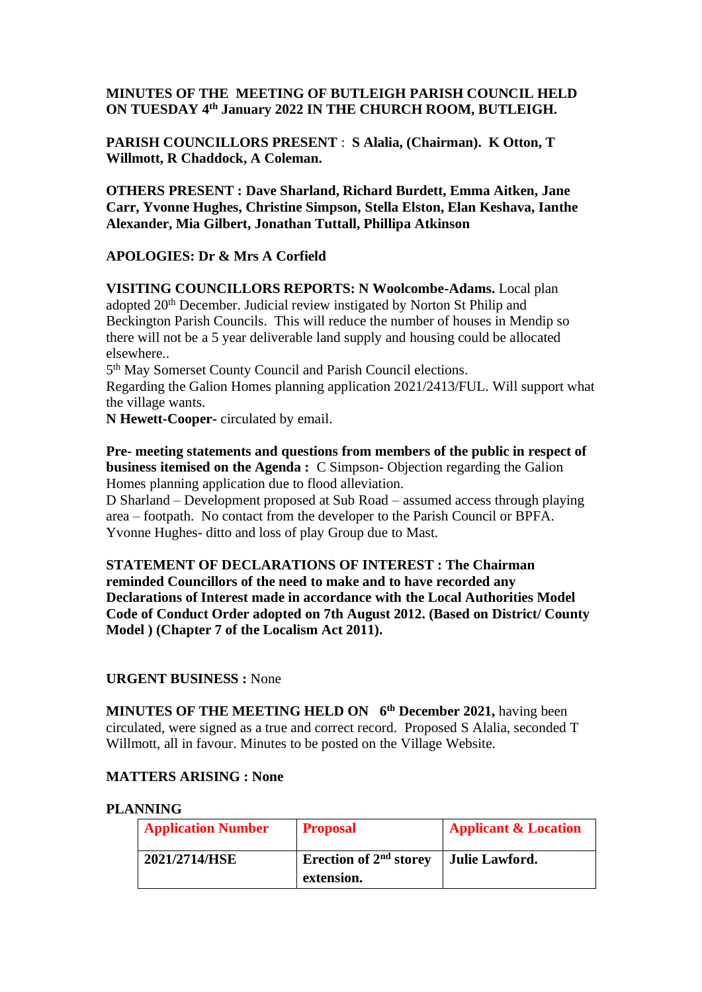## **MINUTES OF THE MEETING OF BUTLEIGH PARISH COUNCIL HELD ON TUESDAY 4 th January 2022 IN THE CHURCH ROOM, BUTLEIGH.**

**PARISH COUNCILLORS PRESENT** : **S Alalia, (Chairman). K Otton, T Willmott, R Chaddock, A Coleman.**

**OTHERS PRESENT : Dave Sharland, Richard Burdett, Emma Aitken, Jane Carr, Yvonne Hughes, Christine Simpson, Stella Elston, Elan Keshava, Ianthe Alexander, Mia Gilbert, Jonathan Tuttall, Phillipa Atkinson**

## **APOLOGIES: Dr & Mrs A Corfield**

**VISITING COUNCILLORS REPORTS: N Woolcombe-Adams.** Local plan adopted 20th December. Judicial review instigated by Norton St Philip and Beckington Parish Councils. This will reduce the number of houses in Mendip so there will not be a 5 year deliverable land supply and housing could be allocated elsewhere..

5<sup>th</sup> May Somerset County Council and Parish Council elections. Regarding the Galion Homes planning application 2021/2413/FUL. Will support what the village wants.

**N Hewett-Cooper-** circulated by email.

**Pre- meeting statements and questions from members of the public in respect of business itemised on the Agenda :** C Simpson- Objection regarding the Galion Homes planning application due to flood alleviation.

D Sharland – Development proposed at Sub Road – assumed access through playing area – footpath. No contact from the developer to the Parish Council or BPFA. Yvonne Hughes- ditto and loss of play Group due to Mast.

**STATEMENT OF DECLARATIONS OF INTEREST : The Chairman reminded Councillors of the need to make and to have recorded any Declarations of Interest made in accordance with the Local Authorities Model Code of Conduct Order adopted on 7th August 2012. (Based on District/ County Model ) (Chapter 7 of the Localism Act 2011).**

### **URGENT BUSINESS :** None

**MINUTES OF THE MEETING HELD ON 6 th December 2021,** having been circulated, were signed as a true and correct record. Proposed S Alalia, seconded T Willmott, all in favour. Minutes to be posted on the Village Website.

### **MATTERS ARISING : None**

#### **PLANNING**

| <b>Application Number</b> | <b>Proposal</b>                    | <b>Applicant &amp; Location</b> |
|---------------------------|------------------------------------|---------------------------------|
| 2021/2714/HSE             | Erection of 2 <sup>nd</sup> storey | Julie Lawford.                  |
|                           | extension.                         |                                 |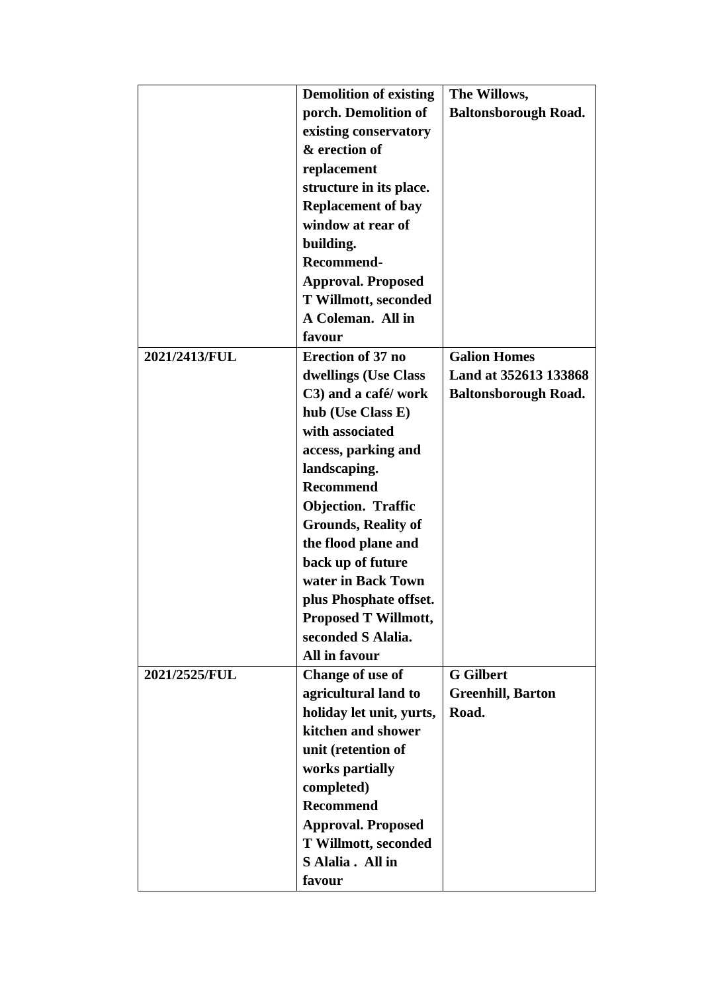|               | <b>Demolition of existing</b> | The Willows,                |  |
|---------------|-------------------------------|-----------------------------|--|
|               | porch. Demolition of          | <b>Baltonsborough Road.</b> |  |
|               | existing conservatory         |                             |  |
|               | & erection of                 |                             |  |
|               | replacement                   |                             |  |
|               | structure in its place.       |                             |  |
|               | <b>Replacement of bay</b>     |                             |  |
|               | window at rear of             |                             |  |
|               | building.                     |                             |  |
|               | <b>Recommend-</b>             |                             |  |
|               | <b>Approval. Proposed</b>     |                             |  |
|               | <b>T Willmott, seconded</b>   |                             |  |
|               | A Coleman. All in             |                             |  |
|               | favour                        |                             |  |
| 2021/2413/FUL | <b>Erection of 37 no</b>      | <b>Galion Homes</b>         |  |
|               | dwellings (Use Class          | Land at 352613 133868       |  |
|               | C3) and a café/ work          | <b>Baltonsborough Road.</b> |  |
|               | hub (Use Class E)             |                             |  |
|               | with associated               |                             |  |
|               | access, parking and           |                             |  |
|               | landscaping.                  |                             |  |
|               | <b>Recommend</b>              |                             |  |
|               | <b>Objection. Traffic</b>     |                             |  |
|               | <b>Grounds, Reality of</b>    |                             |  |
|               | the flood plane and           |                             |  |
|               | back up of future             |                             |  |
|               | water in Back Town            |                             |  |
|               | plus Phosphate offset.        |                             |  |
|               | <b>Proposed T Willmott,</b>   |                             |  |
|               | seconded S Alalia.            |                             |  |
|               | <b>All in favour</b>          |                             |  |
| 2021/2525/FUL | Change of use of              | <b>G</b> Gilbert            |  |
|               | agricultural land to          | <b>Greenhill, Barton</b>    |  |
|               | holiday let unit, yurts,      | Road.                       |  |
|               | kitchen and shower            |                             |  |
|               | unit (retention of            |                             |  |
|               | works partially               |                             |  |
|               | completed)                    |                             |  |
|               | <b>Recommend</b>              |                             |  |
|               | <b>Approval. Proposed</b>     |                             |  |
|               | T Willmott, seconded          |                             |  |
|               | S Alalia. All in              |                             |  |
|               | favour                        |                             |  |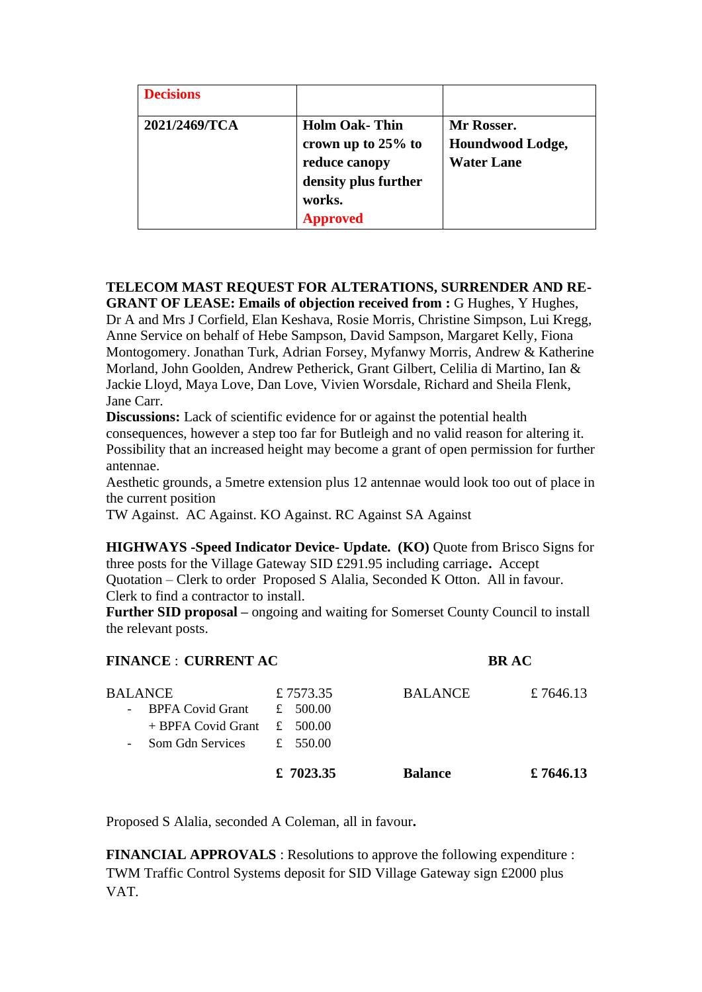| <b>Decisions</b> |                                                                                                                  |                                                     |
|------------------|------------------------------------------------------------------------------------------------------------------|-----------------------------------------------------|
| 2021/2469/TCA    | <b>Holm Oak-Thin</b><br>crown up to 25% to<br>reduce canopy<br>density plus further<br>works.<br><b>Approved</b> | Mr Rosser.<br>Houndwood Lodge,<br><b>Water Lane</b> |

# **TELECOM MAST REQUEST FOR ALTERATIONS, SURRENDER AND RE-**

**GRANT OF LEASE: Emails of objection received from :** G Hughes, Y Hughes, Dr A and Mrs J Corfield, Elan Keshava, Rosie Morris, Christine Simpson, Lui Kregg, Anne Service on behalf of Hebe Sampson, David Sampson, Margaret Kelly, Fiona Montogomery. Jonathan Turk, Adrian Forsey, Myfanwy Morris, Andrew & Katherine Morland, John Goolden, Andrew Petherick, Grant Gilbert, Celilia di Martino, Ian & Jackie Lloyd, Maya Love, Dan Love, Vivien Worsdale, Richard and Sheila Flenk, Jane Carr.

**Discussions:** Lack of scientific evidence for or against the potential health consequences, however a step too far for Butleigh and no valid reason for altering it. Possibility that an increased height may become a grant of open permission for further antennae.

Aesthetic grounds, a 5metre extension plus 12 antennae would look too out of place in the current position

TW Against. AC Against. KO Against. RC Against SA Against

**HIGHWAYS -Speed Indicator Device- Update. (KO)** Quote from Brisco Signs for three posts for the Village Gateway SID £291.95 including carriage**.** Accept Quotation – Clerk to order Proposed S Alalia, Seconded K Otton. All in favour. Clerk to find a contractor to install.

**Further SID proposal –** ongoing and waiting for Somerset County Council to install the relevant posts.

| <b>FINANCE : CURRENT AC</b>                                                                 |                                    | <b>BRAC</b>    |          |
|---------------------------------------------------------------------------------------------|------------------------------------|----------------|----------|
| <b>BALANCE</b><br><b>BPFA Covid Grant</b><br>$\overline{\phantom{a}}$<br>+ BPFA Covid Grant | £7573.35<br>£ $500.00$<br>£ 500.00 | <b>BALANCE</b> | £7646.13 |
| Som Gdn Services                                                                            | £ 550.00                           |                |          |
|                                                                                             | £ 7023.35                          | <b>Balance</b> | £7646.13 |

Proposed S Alalia, seconded A Coleman, all in favour**.**

**FINANCIAL APPROVALS** : Resolutions to approve the following expenditure : TWM Traffic Control Systems deposit for SID Village Gateway sign £2000 plus VAT.